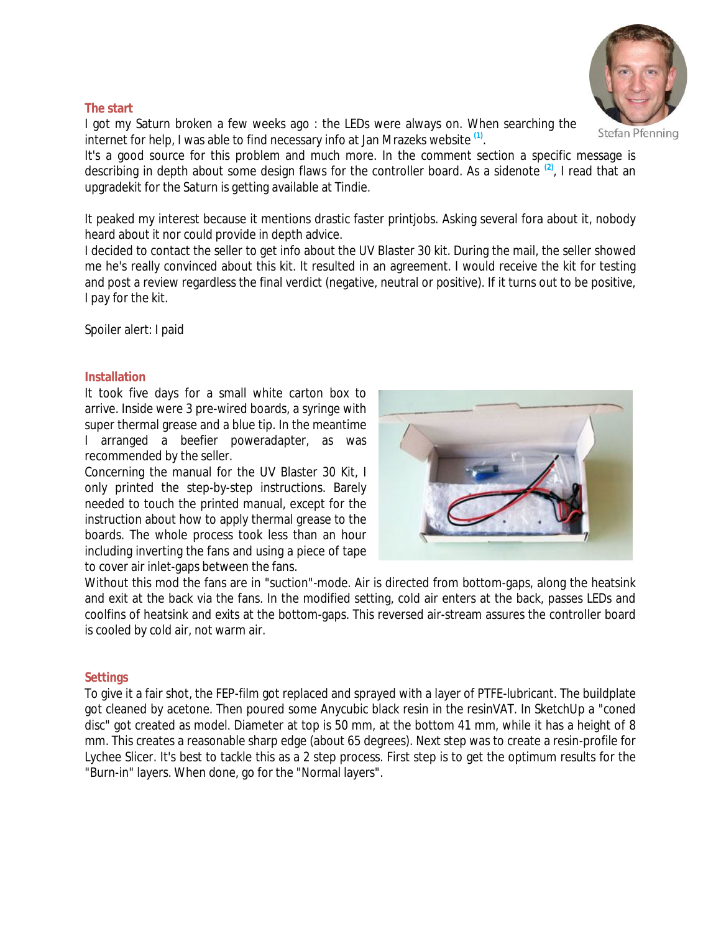

#### **The start**

I got my Saturn broken a few weeks ago : the LEDs were always on. When searching the internet for help, I was able to find necessary info at Jan Mrazeks website **(1)** .

It's a good source for this problem and much more. In the comment section a specific message is describing in depth about some design flaws for the controller board. As a sidenote **(2)**, I read that an upgradekit for the Saturn is getting available at Tindie.

It peaked my interest because it mentions drastic faster printjobs. Asking several fora about it, nobody heard about it nor could provide in depth advice.

I decided to contact the seller to get info about the UV Blaster 30 kit. During the mail, the seller showed me he's really convinced about this kit. It resulted in an agreement. I would receive the kit for testing and post a review regardless the final verdict (negative, neutral or positive). If it turns out to be positive, I pay for the kit.

Spoiler alert: I paid

## **Installation**

It took five days for a small white carton box to arrive. Inside were 3 pre-wired boards, a syringe with super thermal grease and a blue tip. In the meantime I arranged a beefier poweradapter, as was recommended by the seller.

Concerning the manual for the UV Blaster 30 Kit, I only printed the step-by-step instructions. Barely needed to touch the printed manual, except for the instruction about how to apply thermal grease to the boards. The whole process took less than an hour including inverting the fans and using a piece of tape to cover air inlet-gaps between the fans.



Without this mod the fans are in "suction"-mode. Air is directed from bottom-gaps, along the heatsink and exit at the back via the fans. In the modified setting, cold air enters at the back, passes LEDs and coolfins of heatsink and exits at the bottom-gaps. This reversed air-stream assures the controller board is cooled by cold air, not warm air.

# **Settings**

To give it a fair shot, the FEP-film got replaced and sprayed with a layer of PTFE-lubricant. The buildplate got cleaned by acetone. Then poured some Anycubic black resin in the resinVAT. In SketchUp a "coned disc" got created as model. Diameter at top is 50 mm, at the bottom 41 mm, while it has a height of 8 mm. This creates a reasonable sharp edge (about 65 degrees). Next step was to create a resin-profile for Lychee Slicer. It's best to tackle this as a 2 step process. First step is to get the optimum results for the "Burn-in" layers. When done, go for the "Normal layers".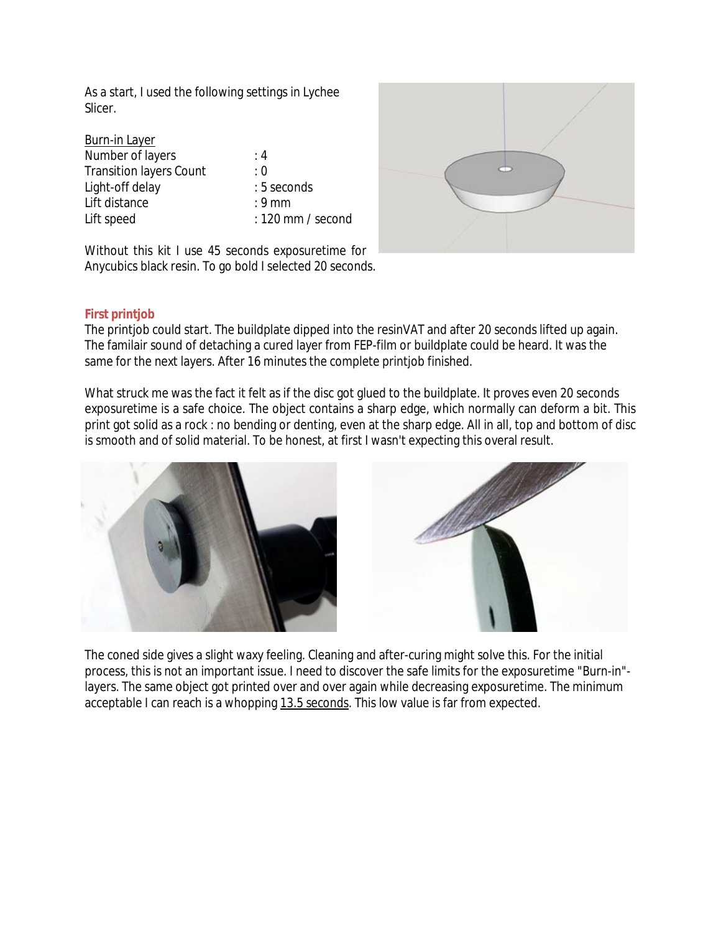As a start, I used the following settings in Lychee Slicer.

| Burn-in Layer                  |                     |
|--------------------------------|---------------------|
| Number of layers               | : $4$               |
| <b>Transition layers Count</b> | : 0                 |
| Light-off delay                | : 5 seconds         |
| Lift distance                  | $: 9 \text{ mm}$    |
| Lift speed                     | $: 120$ mm / second |



Without this kit I use 45 seconds exposuretime for Anycubics black resin. To go bold I selected 20 seconds.

# **First printjob**

The printjob could start. The buildplate dipped into the resinVAT and after 20 seconds lifted up again. The familair sound of detaching a cured layer from FEP-film or buildplate could be heard. It was the same for the next layers. After 16 minutes the complete printjob finished.

What struck me was the fact it felt as if the disc got glued to the buildplate. It proves even 20 seconds exposuretime is a safe choice. The object contains a sharp edge, which normally can deform a bit. This print got solid as a rock : no bending or denting, even at the sharp edge. All in all, top and bottom of disc is smooth and of solid material. To be honest, at first I wasn't expecting this overal result.





The coned side gives a slight waxy feeling. Cleaning and after-curing might solve this. For the initial process, this is not an important issue. I need to discover the safe limits for the exposuretime "Burn-in" layers. The same object got printed over and over again while decreasing exposuretime. The minimum acceptable I can reach is a whopping 13.5 seconds. This low value is far from expected.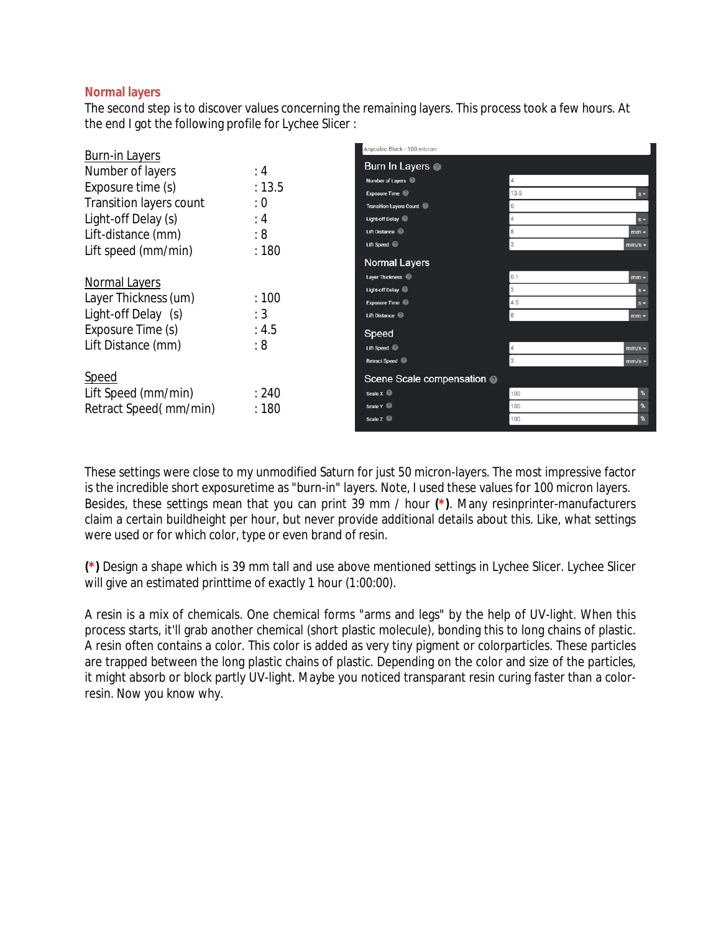# **Normal layers**

The second step is to discover values concerning the remaining layers. This process took a few hours. At the end I got the following profile for Lychee Slicer :

| <b>Burn-in Layers</b>   |        | Anycubic Black - 100 micron    |                          |                            |  |
|-------------------------|--------|--------------------------------|--------------------------|----------------------------|--|
|                         |        | Burn In Layers @               |                          |                            |  |
| Number of layers        | :4     | Number of Layers               |                          |                            |  |
| Exposure time (s)       | : 13.5 | <b>Exposure Time</b>           | 13.5                     | $s -$                      |  |
| Transition layers count | : 0    | <b>Transition Layers Count</b> |                          |                            |  |
| Light-off Delay (s)     | :4     | Light-off Delay                |                          | $s -$                      |  |
| Lift-distance (mm)      | : 8    | Lift Distance                  |                          | $mm -$                     |  |
| Lift speed (mm/min)     | :180   | Lift Speed                     |                          | $mm/s -$                   |  |
|                         |        | Normal Layers                  |                          |                            |  |
| Normal Layers           |        | Layer Thickness                | 0.1                      | $mm -$                     |  |
|                         |        | Light-off Delay                | $\overline{3}$           | $s -$                      |  |
| Layer Thickness (um)    | :100   | Exposure Time                  | 4.5                      | $s -$                      |  |
| Light-off Delay (s)     | :3     | Lift Distance                  |                          | $mm -$                     |  |
| Exposure Time (s)       | : 4.5  | Speed                          |                          |                            |  |
| Lift Distance (mm)      | : 8    | Lift Speed                     |                          | $mm/s$ -                   |  |
|                         |        | <b>Retract Speed</b>           |                          | $mm/s -$                   |  |
| Speed                   |        |                                | Scene Scale compensation |                            |  |
| Lift Speed (mm/min)     | :240   | Scale X                        | 100                      | $\boldsymbol{\%}$          |  |
| Retract Speed(mm/min)   | :180   | Scale Y                        | 100                      | $\boldsymbol{\mathsf{R}}$  |  |
|                         |        | Scale Z                        | 100                      | $\boldsymbol{\mathcal{E}}$ |  |

These settings were close to my unmodified Saturn for just 50 micron-layers. The most impressive factor is the incredible short exposuretime as "burn-in" layers. Note, I used these values for 100 micron layers. Besides, these settings mean that you can print 39 mm / hour **(\*)**. Many resinprinter-manufacturers claim a certain buildheight per hour, but never provide additional details about this. Like, what settings were used or for which color, type or even brand of resin.

**(\*)** Design a shape which is 39 mm tall and use above mentioned settings in Lychee Slicer. Lychee Slicer will give an estimated printtime of exactly 1 hour (1:00:00).

A resin is a mix of chemicals. One chemical forms "arms and legs" by the help of UV-light. When this process starts, it'll grab another chemical (short plastic molecule), bonding this to long chains of plastic. A resin often contains a color. This color is added as very tiny pigment or colorparticles. These particles are trapped between the long plastic chains of plastic. Depending on the color and size of the particles, it might absorb or block partly UV-light. Maybe you noticed transparant resin curing faster than a colorresin. Now you know why.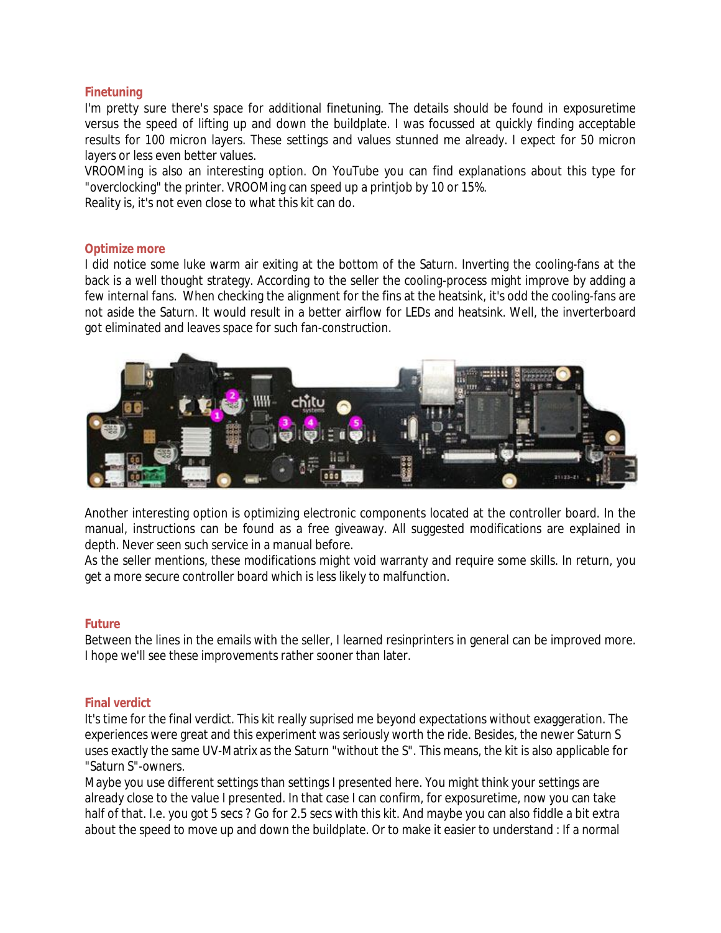# **Finetuning**

I'm pretty sure there's space for additional finetuning. The details should be found in exposuretime versus the speed of lifting up and down the buildplate. I was focussed at quickly finding acceptable results for 100 micron layers. These settings and values stunned me already. I expect for 50 micron layers or less even better values.

VROOMing is also an interesting option. On YouTube you can find explanations about this type for "overclocking" the printer. VROOMing can speed up a printjob by 10 or 15%.

Reality is, it's not even close to what this kit can do.

## **Optimize more**

I did notice some luke warm air exiting at the bottom of the Saturn. Inverting the cooling-fans at the back is a well thought strategy. According to the seller the cooling-process might improve by adding a few internal fans. When checking the alignment for the fins at the heatsink, it's odd the cooling-fans are not aside the Saturn. It would result in a better airflow for LEDs and heatsink. Well, the inverterboard got eliminated and leaves space for such fan-construction.



Another interesting option is optimizing electronic components located at the controller board. In the manual, instructions can be found as a free giveaway. All suggested modifications are explained in depth. Never seen such service in a manual before.

As the seller mentions, these modifications might void warranty and require some skills. In return, you get a more secure controller board which is less likely to malfunction.

## **Future**

Between the lines in the emails with the seller, I learned resinprinters in general can be improved more. I hope we'll see these improvements rather sooner than later.

## **Final verdict**

It's time for the final verdict. This kit really suprised me beyond expectations without exaggeration. The experiences were great and this experiment was seriously worth the ride. Besides, the newer Saturn S uses exactly the same UV-Matrix as the Saturn "without the S". This means, the kit is also applicable for "Saturn S"-owners.

Maybe you use different settings than settings I presented here. You might think your settings are already close to the value I presented. In that case I can confirm, for exposuretime, now you can take half of that. I.e. you got 5 secs ? Go for 2.5 secs with this kit. And maybe you can also fiddle a bit extra about the speed to move up and down the buildplate. Or to make it easier to understand : If a normal